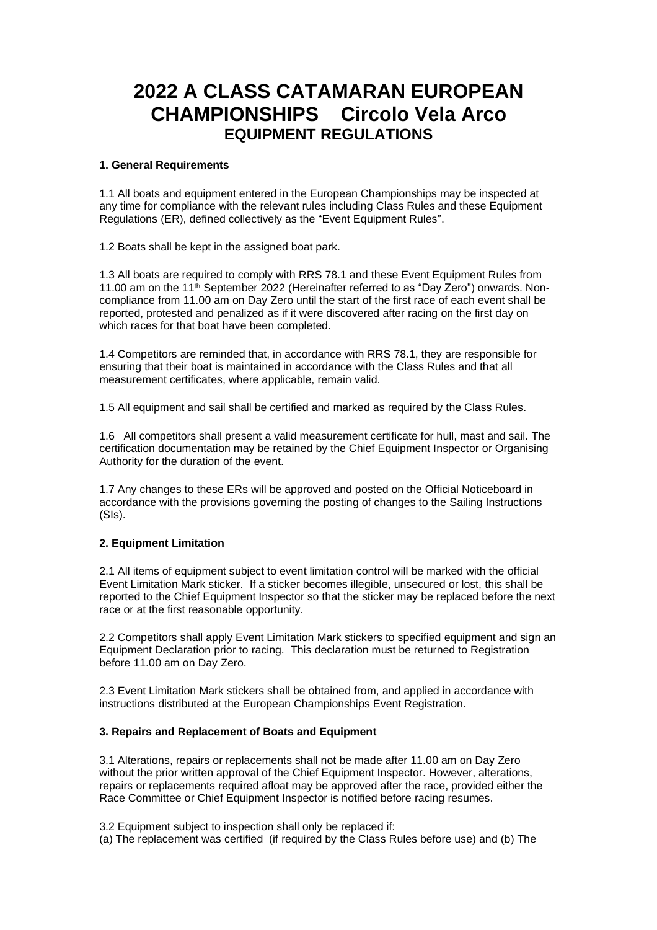# **2022 A CLASS CATAMARAN EUROPEAN CHAMPIONSHIPS Circolo Vela Arco EQUIPMENT REGULATIONS**

#### **1. General Requirements**

1.1 All boats and equipment entered in the European Championships may be inspected at any time for compliance with the relevant rules including Class Rules and these Equipment Regulations (ER), defined collectively as the "Event Equipment Rules".

1.2 Boats shall be kept in the assigned boat park.

1.3 All boats are required to comply with RRS 78.1 and these Event Equipment Rules from 11.00 am on the 11<sup>th</sup> September 2022 (Hereinafter referred to as "Day Zero") onwards. Noncompliance from 11.00 am on Day Zero until the start of the first race of each event shall be reported, protested and penalized as if it were discovered after racing on the first day on which races for that boat have been completed.

1.4 Competitors are reminded that, in accordance with RRS 78.1, they are responsible for ensuring that their boat is maintained in accordance with the Class Rules and that all measurement certificates, where applicable, remain valid.

1.5 All equipment and sail shall be certified and marked as required by the Class Rules.

1.6 All competitors shall present a valid measurement certificate for hull, mast and sail. The certification documentation may be retained by the Chief Equipment Inspector or Organising Authority for the duration of the event.

1.7 Any changes to these ERs will be approved and posted on the Official Noticeboard in accordance with the provisions governing the posting of changes to the Sailing Instructions (SIs).

### **2. Equipment Limitation**

2.1 All items of equipment subject to event limitation control will be marked with the official Event Limitation Mark sticker. If a sticker becomes illegible, unsecured or lost, this shall be reported to the Chief Equipment Inspector so that the sticker may be replaced before the next race or at the first reasonable opportunity.

2.2 Competitors shall apply Event Limitation Mark stickers to specified equipment and sign an Equipment Declaration prior to racing. This declaration must be returned to Registration before 11.00 am on Day Zero.

2.3 Event Limitation Mark stickers shall be obtained from, and applied in accordance with instructions distributed at the European Championships Event Registration.

## **3. Repairs and Replacement of Boats and Equipment**

3.1 Alterations, repairs or replacements shall not be made after 11.00 am on Day Zero without the prior written approval of the Chief Equipment Inspector. However, alterations, repairs or replacements required afloat may be approved after the race, provided either the Race Committee or Chief Equipment Inspector is notified before racing resumes.

3.2 Equipment subject to inspection shall only be replaced if:

(a) The replacement was certified (if required by the Class Rules before use) and (b) The